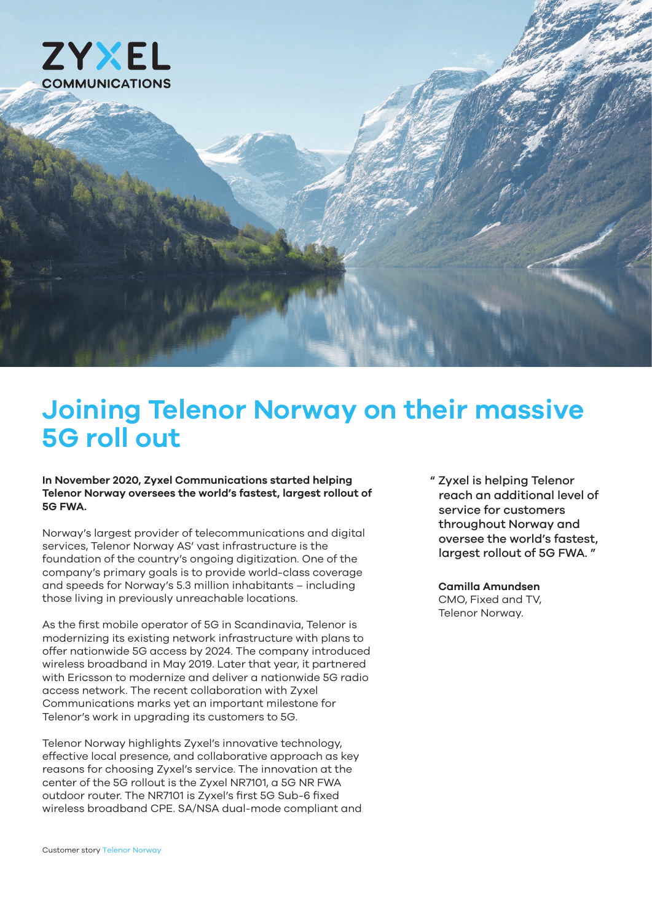

# **Joining Telenor Norway on their massive 5G roll out**

#### **In November 2020, Zyxel Communications started helping Telenor Norway oversees the world's fastest, largest rollout of 5G FWA.**

Norway's largest provider of telecommunications and digital services, Telenor Norway AS' vast infrastructure is the foundation of the country's ongoing digitization. One of the company's primary goals is to provide world-class coverage and speeds for Norway's 5.3 million inhabitants – including those living in previously unreachable locations.

As the first mobile operator of 5G in Scandinavia, Telenor is modernizing its existing network infrastructure with plans to offer nationwide 5G access by 2024. The company introduced wireless broadband in May 2019. Later that year, it partnered with Ericsson to modernize and deliver a nationwide 5G radio access network. The recent collaboration with Zyxel Communications marks yet an important milestone for Telenor's work in upgrading its customers to 5G.

Telenor Norway highlights Zyxel's innovative technology, effective local presence, and collaborative approach as key reasons for choosing Zyxel's service. The innovation at the center of the 5G rollout is the Zyxel NR7101, a 5G NR FWA outdoor router. The NR7101 is Zyxel's first 5G Sub-6 fixed wireless broadband CPE. SA/NSA dual-mode compliant and " Zyxel is helping Telenor reach an additional level of service for customers throughout Norway and oversee the world's fastest, largest rollout of 5G FWA. "

#### **Camilla Amundsen**

CMO, Fixed and TV, Telenor Norway.